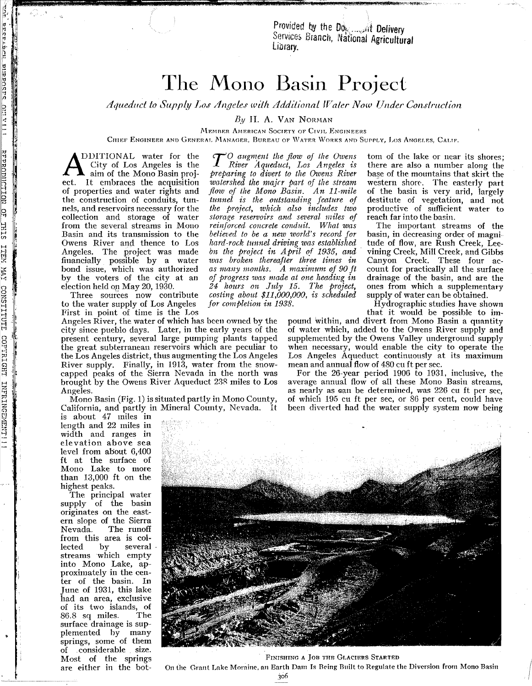Provided by the Do<sub>s</sub>, ...,;nt Delivery Services Branch, National Agricultural

## The Mono Basin Project

*Aqueduct to Supply Los Angeles with Additional Waler Now Under Construction* 

 $By$  H. A. VAN NORMAN

MEMBER AMERICAN SOCIETY OF CIVIL ENGINEERS

CHIEF ENGINEER AND GENERAL MANAGER, BUREAU OF WATER WORKS AND SUPPLY, LOS ANGELES, CALIF.

DDITIONAL water for the City of Los Angeles is the aim of the Mono Basin project. It embraces the acquisition of properties and water rights and the construction of conduits, tunnels, and reservoirs necessary for the collection and storage of water from the several streams in Mouo Basin and its transmission to the Owens River and thence to Los Angeles. The project was made financially possible by a water bond issue, which was authorized by the voters of the city at an election held or May 20, 1930.

H rn 1 <sup>H</sup> 'J H

prestant pippost: Dili villi

Three sources now contribute to the water supply of Los Angeles First in point of time is the Los

Angeles River, the water of which has been owned by the city since pueblo days. Later, in the early years of the present century, several large pumping plants tapped the great subterranean reservoirs which are peculiar to the Los Angeles district, thus augmenting the Los Angeles River supply. Finally, in 1913, water from the snowcapped peaks of the Sierra Nevada in the north was brought by the Owens River Aqueduct 23R miles to Los Angeles.

Mono Basin (Fig. 1) is situated partly in Mono County, California, and partly in Mineral County, Nevada. It

is about 47 miles in length and 22 miles in width and ranges in elevation above sea level from about 6,400 ft at the surface of Mono Lake to more than 13,000 ft on the highest peaks.

The principal water supply of the basin originates on the eastern slope of the Sierra<br>Nevada. The runoff The runoff from this area is col-<br>lected by several lected by several streams which empty into Mono Lake, approximately in the center of the basin. In June of 1931, this lake had an area, exclusive of its two islands, of<br>86.8 sq miles. The 86.8 sq miles. surface drainage is supplemented by many springs, some of them of .considerable size. Most of the springs are either in the bot-

*T*<sup>O</sup> *augment the flow of the Owens*<br>*River Aqueduct, Los Angeles* is *preparing to divert to the Owens River wa,tershed the majrr part of the stream flow of the Mono Basin. A n II-mile tunnel* is *the outstanding Jeature of the project, which a.lso includes two storage reservoirs and several miles of rein]orced concrete condu£t. What was belie1;ed to be a new wotld's record for hard-rock tunnel driving was established on the project in April of* 1935, *and was broken thereafter three times in as many months. A maximum of 90 it oj progress 1uas made at one heading in 24 hours Olt July* 15. *The project, costing about* \$11 *,000,000, is scheduled f01' completion in 1938.*

tom of the lake or near its shores; there are also a number along the base of the mountains that skirt the western shore. The easterly part of the basin is very arid, largely destitute of vegetation, and not productive of sufficient water to reach far into the basin.

The important streams of the basin, in decreasing order of magnitude of flow, are Rush Creek, Leevining Creek, Mill Creek, and Gibbs Canyon Creek. These four account for practically all the surface drainage of the basin, and are the ones from which a supplementary supply of water can be obtained.

Hydrographic studies have shown that it would be possible to im-

pound within, and divert from Mono Basin a quantity of water which, added to the Owens River supply and supplemented by the Owens Valley underground supply when necessary, would enable the city to operate the Los Angeles Aqueduct continuously at its maximum mean and annual flow of 480 cu ft per sec.

For the 26-year period 1906 to 1931. inclusive, the average annual flow of all these Mono Basin streams, as nearly as can be determined, was 226 cu ft per sec, of which 195 cu ft per sec, or 86 per cent, could have been diverted had the water supply system now being

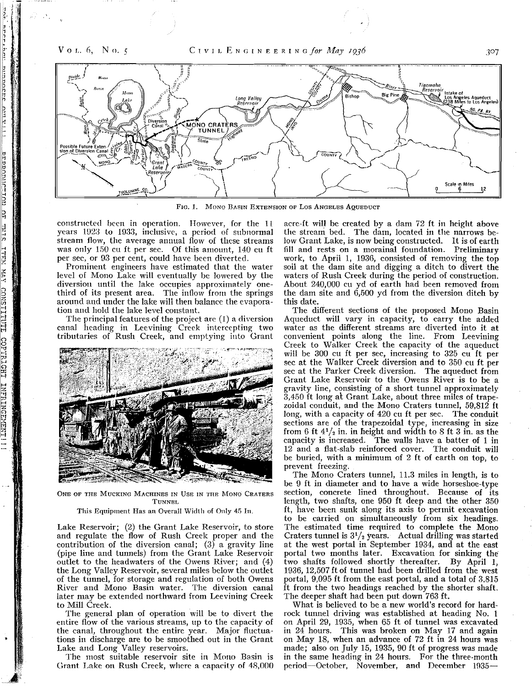<u>ran</u>

mponera

mormicrinu

日

**THIS** 

 $14.11$ 

 $\overline{\text{YM}}$ 

CONSTITITI

COPYRIGHT

INFRINGEME



FIG. 1. MONO BASIN EXTENSION OF LOS ANGELES AQUEDUCT

constructed been in operation. However, for the 11 years 1923 to 1933, inclusive, a period of subnormal stream flow, the average annual flow of these streams was only 150 cu ft per sec. Of this amount, 140 cu ft per sec, or 93 per cent, could have been diverted.

Prominent engineers have estimated that the water level of Mono Lake will eventually be lowered by the diversion until the lake occupies approximately onethird of its present area. The inflow from the springs around and under the lake will then balance the evaporation and hold the lake level constant.

The principal features of the project are (1) a diversion canal heading in Leevining Creek intercepting two tributaries of Rush Creek, and emptying into Grant



ONE OF THE MUCKING MACHINES IN USE IN THE MONO CRATERS **TUNNEL** 

## This Equipment Has an Overall Width of Only 45 In.

Lake Reservoir; (2) the Grant Lake Reservoir, to store and regulate the flow of Rush Creek proper and the contribution of the diversion canal;  $(3)$  a gravity line (pipe line and tunnels) from the Grant Lake Reservoir outlet to the headwaters of the Owens River; and (4) the Long Valley Reservoir, several miles below the outlet of the tunnel, for storage and regulation of both Owens River and Mono Basin water. The diversion canal later may be extended northward from Leevining Creek to Mill Creek.

The general plan of operation will be to divert the entire flow of the various streams, up to the capacity of the canal, throughout the entire year. Major fluctuations in discharge are to be smoothed out in the Grant Lake and Long Valley reservoirs.

The most suitable reservoir site in Mono Basin is Grant Lake on Rush Creek, where a capacity of 4g,OOO

acre-ft will be created by a dam 72 ft in height above the stream bed. The dam, located in the narrows below Grant Lake, is now being constructed. It is of earth fill and rests on a morainal foundation. Preliminary work, to April 1, 1936, consisted of removing the top soil at the dam site and digging a ditch to divert the waters of Rush Creek during the period of construction. About 240,000 cu yd of earth had been removed from the dam site and 6,500 yd from the diversion ditch by this date.

The different sections of the proposed Mono Basin Aqueduct will vary in capacity, to carry the added water as the different streams are diverted into it at convenient points along the line. From Leevining Creek to Walker Creek the capacity of the aqueduct will be 300 cu ft per sec, increasing to 325 cu ft per sec at the Walker Creek diversion and to 350 cu ft per sec at the Parker Creek diversion. The aqueduct from Grant Lake Reservoir to the Owens River is to be a gravity line, consisting of a short tunnel approximately 3,450 ft long at Grant Lake, about three miles of trapezoidal conduit, and the Mono Craters tunnel, 59,812 ft long, with a capacity of 420 cu ft per sec. The conduit sections are of the trapezoidal type, increasing in size from  $6$  ft  $4\frac{1}{2}$  in. in height and width to  $8$  ft  $3$  in. as the capacity is increased. The walls have a batter of 1 in 12 and a flat-slab reinforced cover. The conduit will be buried, with a minimum of 2 ft of earth on top, to prevent freezing.

The Mono Craters tunnel, 11.3 miles in length, is to be 9 ft in diameter and to have a wide horseshoe-type section, concrete lined throughout. Because of its length, two shafts, one 950 ft deep and the other 350 ft, have been sunk along its axis to permit excavation to be carried on simultaneously from six headings. The estimated time required to complete the Mono Craters tunnel is  $3^{1}/_{2}$  years. Actual drilling was started at the west portal in September 1934, and at the east portal two months later. Excavation for sinking the two shafts. followed shortly thereafter. By April 1, 1936, 12,507 ft of tunnel had been drilled from the west portal, 9,095 ft from the east portal, and a total of 3,815 ft from the two headings reached by the shorter shaft. The deeper shaft had been put down 763 ft.

What is believed to be a new world's record for hardrock tunnel driving was established at heading No. 1 on April 29, 1935, when 65 ft of tunnel was excavated in 24 hours. This was broken on May 17 and again on May 18, when an advance of 72 ft in 24 hours was made; also on July 15, 1935, 90 ft of progress was made in the same heading in 24 hours. For the three-month period-Odober, November, and December 1935-

3°7